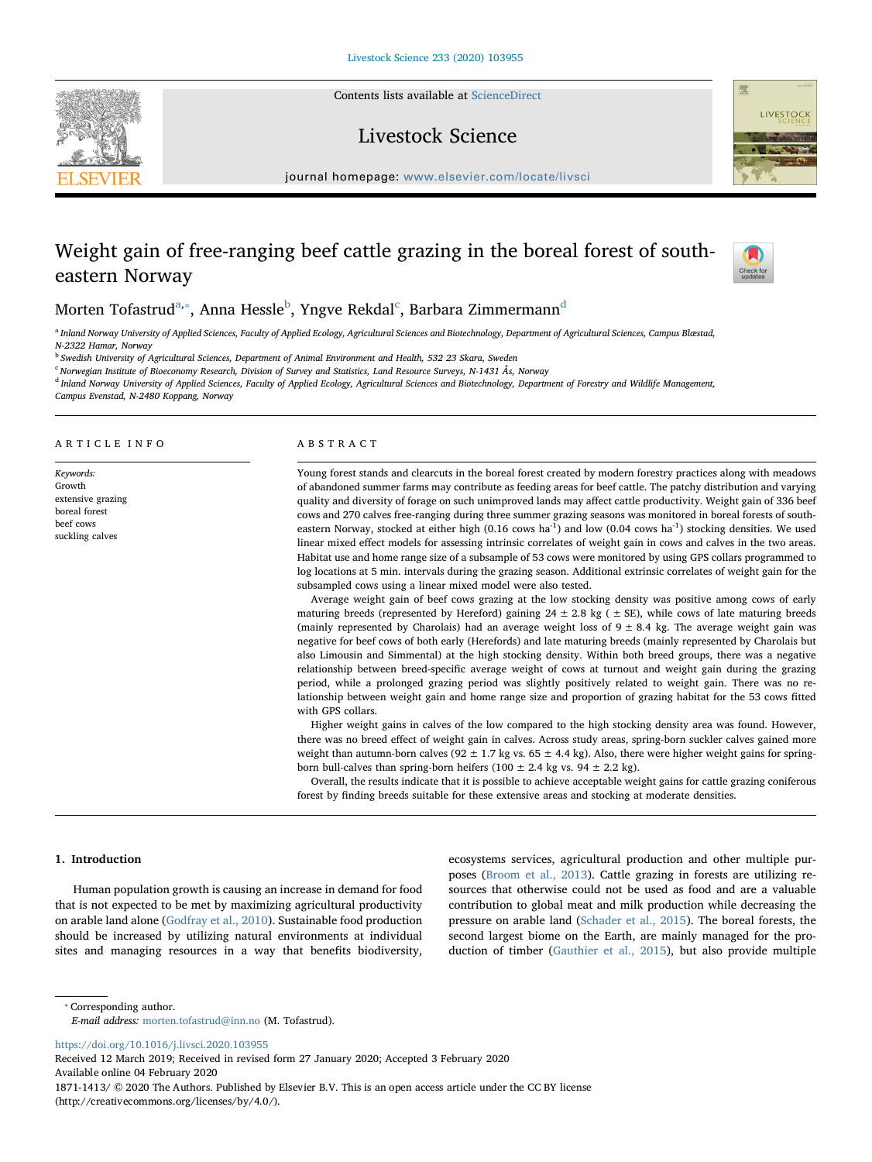Contents lists available at [ScienceDirect](http://www.sciencedirect.com/science/journal/18711413)

## Livestock Science



# Weight gain of free-ranging beef cattle grazing in the boreal forest of southeastern Norway



**LIVESTOCK** 

## Morten Tofastrud<sup>[a,](#page-0-0)</sup>\*, Anna Hessle<sup>[b](#page-0-2)</sup>, Yngve Rekdal<sup>[c](#page-0-3)</sup>, Barbara Zimmermann<sup>[d](#page-0-4)</sup>

<span id="page-0-0"></span>a Inland Norway University of Applied Sciences, Faculty of Applied Ecology, Agricultural Sciences and Biotechnology, Department of Agricultural Sciences, Campus Blæstad, N-2322 Hamar, Norway

<span id="page-0-2"></span><sup>b</sup> Swedish University of Agricultural Sciences, Department of Animal Environment and Health, 532 23 Skara, Sweden

<span id="page-0-3"></span> $c$  Norwegian Institute of Bioeconomy Research, Division of Survey and Statistics, Land Resource Surveys, N-1431 Ås, Norway

<span id="page-0-4"></span><sup>d</sup> Inland Norway University of Applied Sciences, Faculty of Applied Ecology, Agricultural Sciences and Biotechnology, Department of Forestry and Wildlife Management,

Campus Evenstad, N-2480 Koppang, Norway

#### ARTICLE INFO

Keywords: Growth extensive grazing boreal forest beef cows suckling calves

## ABSTRACT

Young forest stands and clearcuts in the boreal forest created by modern forestry practices along with meadows of abandoned summer farms may contribute as feeding areas for beef cattle. The patchy distribution and varying quality and diversity of forage on such unimproved lands may affect cattle productivity. Weight gain of 336 beef cows and 270 calves free-ranging during three summer grazing seasons was monitored in boreal forests of southeastern Norway, stocked at either high (0.16 cows ha<sup>-1</sup>) and low (0.04 cows ha<sup>-1</sup>) stocking densities. We used linear mixed effect models for assessing intrinsic correlates of weight gain in cows and calves in the two areas. Habitat use and home range size of a subsample of 53 cows were monitored by using GPS collars programmed to log locations at 5 min. intervals during the grazing season. Additional extrinsic correlates of weight gain for the subsampled cows using a linear mixed model were also tested.

Average weight gain of beef cows grazing at the low stocking density was positive among cows of early maturing breeds (represented by Hereford) gaining  $24 \pm 2.8$  kg ( $\pm$  SE), while cows of late maturing breeds (mainly represented by Charolais) had an average weight loss of  $9 \pm 8.4$  kg. The average weight gain was negative for beef cows of both early (Herefords) and late maturing breeds (mainly represented by Charolais but also Limousin and Simmental) at the high stocking density. Within both breed groups, there was a negative relationship between breed-specific average weight of cows at turnout and weight gain during the grazing period, while a prolonged grazing period was slightly positively related to weight gain. There was no relationship between weight gain and home range size and proportion of grazing habitat for the 53 cows fitted with GPS collars.

Higher weight gains in calves of the low compared to the high stocking density area was found. However, there was no breed effect of weight gain in calves. Across study areas, spring-born suckler calves gained more weight than autumn-born calves (92  $\pm$  1.7 kg vs. 65  $\pm$  4.4 kg). Also, there were higher weight gains for springborn bull-calves than spring-born heifers (100  $\pm$  2.4 kg vs. 94  $\pm$  2.2 kg).

Overall, the results indicate that it is possible to achieve acceptable weight gains for cattle grazing coniferous forest by finding breeds suitable for these extensive areas and stocking at moderate densities.

## 1. Introduction

Human population growth is causing an increase in demand for food that is not expected to be met by maximizing agricultural productivity on arable land alone ([Godfray et al., 2010](#page-8-0)). Sustainable food production should be increased by utilizing natural environments at individual sites and managing resources in a way that benefits biodiversity,

ecosystems services, agricultural production and other multiple purposes [\(Broom et al., 2013](#page-7-0)). Cattle grazing in forests are utilizing resources that otherwise could not be used as food and are a valuable contribution to global meat and milk production while decreasing the pressure on arable land ([Schader et al., 2015\)](#page-8-1). The boreal forests, the second largest biome on the Earth, are mainly managed for the production of timber ([Gauthier et al., 2015](#page-8-2)), but also provide multiple

<span id="page-0-1"></span>⁎ Corresponding author.

E-mail address: [morten.tofastrud@inn.no](mailto:morten.tofastrud@inn.no) (M. Tofastrud).

<https://doi.org/10.1016/j.livsci.2020.103955>

Received 12 March 2019; Received in revised form 27 January 2020; Accepted 3 February 2020 Available online 04 February 2020

1871-1413/ © 2020 The Authors. Published by Elsevier B.V. This is an open access article under the CC BY license (http://creativecommons.org/licenses/by/4.0/).

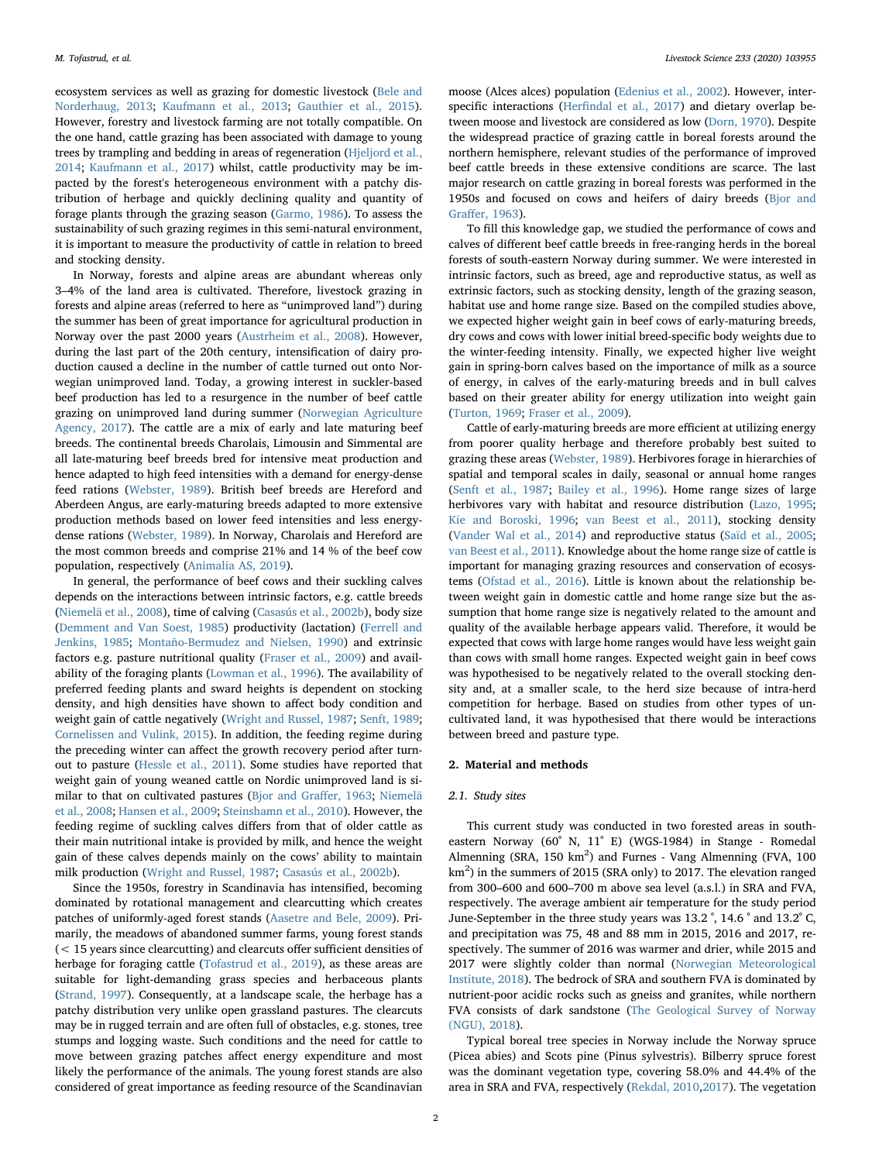ecosystem services as well as grazing for domestic livestock ([Bele and](#page-7-1) [Norderhaug, 2013](#page-7-1); [Kaufmann et al., 2013;](#page-8-3) [Gauthier et al., 2015](#page-8-2)). However, forestry and livestock farming are not totally compatible. On the one hand, cattle grazing has been associated with damage to young trees by trampling and bedding in areas of regeneration [\(Hjeljord et al.,](#page-8-4) [2014;](#page-8-4) [Kaufmann et al., 2017](#page-8-5)) whilst, cattle productivity may be impacted by the forest's heterogeneous environment with a patchy distribution of herbage and quickly declining quality and quantity of forage plants through the grazing season [\(Garmo, 1986\)](#page-8-6). To assess the sustainability of such grazing regimes in this semi-natural environment, it is important to measure the productivity of cattle in relation to breed and stocking density.

In Norway, forests and alpine areas are abundant whereas only 3–4% of the land area is cultivated. Therefore, livestock grazing in forests and alpine areas (referred to here as "unimproved land") during the summer has been of great importance for agricultural production in Norway over the past 2000 years ([Austrheim et al., 2008](#page-7-2)). However, during the last part of the 20th century, intensification of dairy production caused a decline in the number of cattle turned out onto Norwegian unimproved land. Today, a growing interest in suckler-based beef production has led to a resurgence in the number of beef cattle grazing on unimproved land during summer ([Norwegian Agriculture](#page-8-7) [Agency, 2017](#page-8-7)). The cattle are a mix of early and late maturing beef breeds. The continental breeds Charolais, Limousin and Simmental are all late-maturing beef breeds bred for intensive meat production and hence adapted to high feed intensities with a demand for energy-dense feed rations [\(Webster, 1989](#page-8-8)). British beef breeds are Hereford and Aberdeen Angus, are early-maturing breeds adapted to more extensive production methods based on lower feed intensities and less energydense rations [\(Webster, 1989\)](#page-8-8). In Norway, Charolais and Hereford are the most common breeds and comprise 21% and 14 % of the beef cow population, respectively [\(Animalia AS, 2019](#page-7-3)).

In general, the performance of beef cows and their suckling calves depends on the interactions between intrinsic factors, e.g. cattle breeds ([Niemelä et al., 2008](#page-8-9)), time of calving ([Casasús et al., 2002b\)](#page-8-10), body size ([Demment and Van Soest, 1985](#page-8-11)) productivity (lactation) [\(Ferrell and](#page-8-12) [Jenkins, 1985](#page-8-12); [Montaño-Bermudez and Nielsen, 1990\)](#page-8-13) and extrinsic factors e.g. pasture nutritional quality ([Fraser et al., 2009\)](#page-8-14) and availability of the foraging plants ([Lowman et al., 1996](#page-8-15)). The availability of preferred feeding plants and sward heights is dependent on stocking density, and high densities have shown to affect body condition and weight gain of cattle negatively [\(Wright and Russel, 1987](#page-8-16); [Senft, 1989](#page-8-17); [Cornelissen and Vulink, 2015](#page-8-18)). In addition, the feeding regime during the preceding winter can affect the growth recovery period after turnout to pasture [\(Hessle et al., 2011\)](#page-8-19). Some studies have reported that weight gain of young weaned cattle on Nordic unimproved land is similar to that on cultivated pastures (Bjor and Graff[er, 1963](#page-7-4); [Niemelä](#page-8-9) [et al., 2008;](#page-8-9) [Hansen et al., 2009](#page-8-20); [Steinshamn et al., 2010\)](#page-8-21). However, the feeding regime of suckling calves differs from that of older cattle as their main nutritional intake is provided by milk, and hence the weight gain of these calves depends mainly on the cows' ability to maintain milk production [\(Wright and Russel, 1987](#page-8-16); [Casasús et al., 2002b](#page-8-10)).

Since the 1950s, forestry in Scandinavia has intensified, becoming dominated by rotational management and clearcutting which creates patches of uniformly-aged forest stands ([Aasetre and Bele, 2009\)](#page-7-5). Primarily, the meadows of abandoned summer farms, young forest stands (< 15 years since clearcutting) and clearcuts offer sufficient densities of herbage for foraging cattle [\(Tofastrud et al., 2019](#page-8-22)), as these areas are suitable for light-demanding grass species and herbaceous plants ([Strand, 1997\)](#page-8-23). Consequently, at a landscape scale, the herbage has a patchy distribution very unlike open grassland pastures. The clearcuts may be in rugged terrain and are often full of obstacles, e.g. stones, tree stumps and logging waste. Such conditions and the need for cattle to move between grazing patches affect energy expenditure and most likely the performance of the animals. The young forest stands are also considered of great importance as feeding resource of the Scandinavian moose (Alces alces) population ([Edenius et al., 2002\)](#page-8-24). However, interspecific interactions (Herfi[ndal et al., 2017\)](#page-8-25) and dietary overlap between moose and livestock are considered as low [\(Dorn, 1970](#page-8-26)). Despite the widespread practice of grazing cattle in boreal forests around the northern hemisphere, relevant studies of the performance of improved beef cattle breeds in these extensive conditions are scarce. The last major research on cattle grazing in boreal forests was performed in the 1950s and focused on cows and heifers of dairy breeds ([Bjor and](#page-7-4) Graff[er, 1963](#page-7-4)).

To fill this knowledge gap, we studied the performance of cows and calves of different beef cattle breeds in free-ranging herds in the boreal forests of south-eastern Norway during summer. We were interested in intrinsic factors, such as breed, age and reproductive status, as well as extrinsic factors, such as stocking density, length of the grazing season, habitat use and home range size. Based on the compiled studies above, we expected higher weight gain in beef cows of early-maturing breeds, dry cows and cows with lower initial breed-specific body weights due to the winter-feeding intensity. Finally, we expected higher live weight gain in spring-born calves based on the importance of milk as a source of energy, in calves of the early-maturing breeds and in bull calves based on their greater ability for energy utilization into weight gain ([Turton, 1969](#page-8-27); [Fraser et al., 2009](#page-8-14)).

Cattle of early-maturing breeds are more efficient at utilizing energy from poorer quality herbage and therefore probably best suited to grazing these areas [\(Webster, 1989](#page-8-8)). Herbivores forage in hierarchies of spatial and temporal scales in daily, seasonal or annual home ranges ([Senft et al., 1987](#page-8-28); [Bailey et al., 1996\)](#page-7-6). Home range sizes of large herbivores vary with habitat and resource distribution ([Lazo, 1995](#page-8-29); [Kie and Boroski, 1996;](#page-8-30) [van Beest et al., 2011\)](#page-8-31), stocking density ([Vander Wal et al., 2014](#page-8-32)) and reproductive status ([Saïd et al., 2005](#page-8-33); [van Beest et al., 2011\)](#page-8-31). Knowledge about the home range size of cattle is important for managing grazing resources and conservation of ecosystems [\(Ofstad et al., 2016\)](#page-8-34). Little is known about the relationship between weight gain in domestic cattle and home range size but the assumption that home range size is negatively related to the amount and quality of the available herbage appears valid. Therefore, it would be expected that cows with large home ranges would have less weight gain than cows with small home ranges. Expected weight gain in beef cows was hypothesised to be negatively related to the overall stocking density and, at a smaller scale, to the herd size because of intra-herd competition for herbage. Based on studies from other types of uncultivated land, it was hypothesised that there would be interactions between breed and pasture type.

## 2. Material and methods

## 2.1. Study sites

This current study was conducted in two forested areas in southeastern Norway (60˚ N, 11˚ E) (WGS-1984) in Stange - Romedal Almenning (SRA,  $150 \text{ km}^2$ ) and Furnes - Vang Almenning (FVA,  $100$  $\text{km}^2$ ) in the summers of 2015 (SRA only) to 2017. The elevation ranged from 300–600 and 600–700 m above sea level (a.s.l.) in SRA and FVA, respectively. The average ambient air temperature for the study period June-September in the three study years was 13.2 ˚, 14.6 ˚ and 13.2˚ C, and precipitation was 75, 48 and 88 mm in 2015, 2016 and 2017, respectively. The summer of 2016 was warmer and drier, while 2015 and 2017 were slightly colder than normal ([Norwegian Meteorological](#page-8-35) [Institute, 2018](#page-8-35)). The bedrock of SRA and southern FVA is dominated by nutrient-poor acidic rocks such as gneiss and granites, while northern FVA consists of dark sandstone [\(The Geological Survey of Norway](#page-8-36) [\(NGU\), 2018](#page-8-36)).

Typical boreal tree species in Norway include the Norway spruce (Picea abies) and Scots pine (Pinus sylvestris). Bilberry spruce forest was the dominant vegetation type, covering 58.0% and 44.4% of the area in SRA and FVA, respectively [\(Rekdal, 2010,](#page-8-37)[2017](#page-8-38)). The vegetation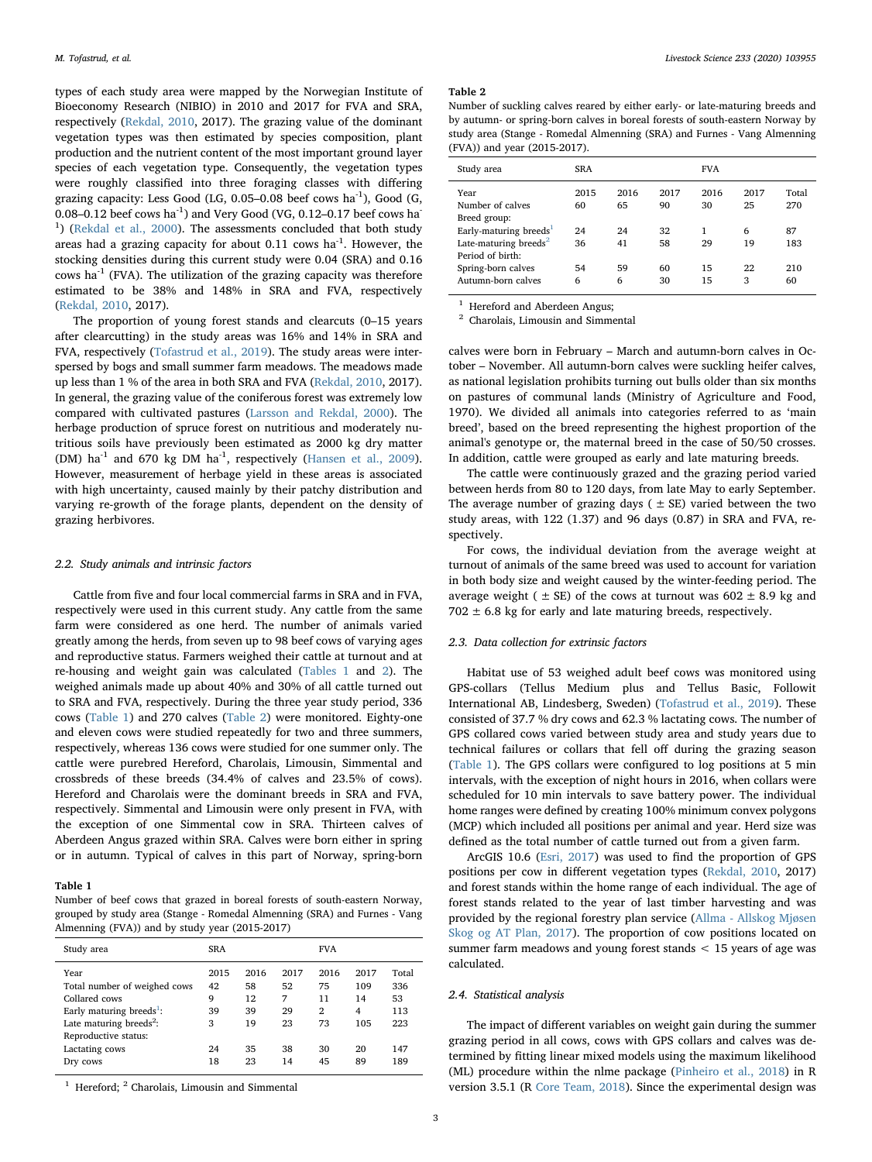types of each study area were mapped by the Norwegian Institute of Bioeconomy Research (NIBIO) in 2010 and 2017 for FVA and SRA, respectively ([Rekdal, 2010,](#page-8-37) 2017). The grazing value of the dominant vegetation types was then estimated by species composition, plant production and the nutrient content of the most important ground layer species of each vegetation type. Consequently, the vegetation types were roughly classified into three foraging classes with differing grazing capacity: Less Good (LG, 0.05–0.08 beef cows ha-1), Good (G, 0.08–0.12 beef cows ha $^{-1}$ ) and Very Good (VG, 0.12–0.17 beef cows ha $^{-}$ <sup>1</sup>) ([Rekdal et al., 2000](#page-8-39)). The assessments concluded that both study areas had a grazing capacity for about  $0.11$  cows ha<sup>-1</sup>. However, the stocking densities during this current study were 0.04 (SRA) and 0.16 cows ha $^{-1}$  (FVA). The utilization of the grazing capacity was therefore estimated to be 38% and 148% in SRA and FVA, respectively ([Rekdal, 2010,](#page-8-37) 2017).

The proportion of young forest stands and clearcuts (0–15 years after clearcutting) in the study areas was 16% and 14% in SRA and FVA, respectively [\(Tofastrud et al., 2019\)](#page-8-22). The study areas were interspersed by bogs and small summer farm meadows. The meadows made up less than 1 % of the area in both SRA and FVA ([Rekdal, 2010](#page-8-37), 2017). In general, the grazing value of the coniferous forest was extremely low compared with cultivated pastures ([Larsson and Rekdal, 2000](#page-8-40)). The herbage production of spruce forest on nutritious and moderately nutritious soils have previously been estimated as 2000 kg dry matter (DM) ha $^{-1}$  and 670 kg DM ha $^{-1}$ , respectively [\(Hansen et al., 2009](#page-8-20)). However, measurement of herbage yield in these areas is associated with high uncertainty, caused mainly by their patchy distribution and varying re-growth of the forage plants, dependent on the density of grazing herbivores.

#### 2.2. Study animals and intrinsic factors

Cattle from five and four local commercial farms in SRA and in FVA, respectively were used in this current study. Any cattle from the same farm were considered as one herd. The number of animals varied greatly among the herds, from seven up to 98 beef cows of varying ages and reproductive status. Farmers weighed their cattle at turnout and at re-housing and weight gain was calculated [\(Tables 1](#page-2-0) and [2\)](#page-2-1). The weighed animals made up about 40% and 30% of all cattle turned out to SRA and FVA, respectively. During the three year study period, 336 cows [\(Table 1](#page-2-0)) and 270 calves ([Table 2](#page-2-1)) were monitored. Eighty-one and eleven cows were studied repeatedly for two and three summers, respectively, whereas 136 cows were studied for one summer only. The cattle were purebred Hereford, Charolais, Limousin, Simmental and crossbreds of these breeds (34.4% of calves and 23.5% of cows). Hereford and Charolais were the dominant breeds in SRA and FVA, respectively. Simmental and Limousin were only present in FVA, with the exception of one Simmental cow in SRA. Thirteen calves of Aberdeen Angus grazed within SRA. Calves were born either in spring or in autumn. Typical of calves in this part of Norway, spring-born

#### <span id="page-2-0"></span>Table 1

Number of beef cows that grazed in boreal forests of south-eastern Norway, grouped by study area (Stange - Romedal Almenning (SRA) and Furnes - Vang Almenning (FVA)) and by study year (2015-2017)

| Study area                                                                                                                                                                                 | <b>SRA</b>                             |                                          |                                         | <b>FVA</b>                                           |                                           |                                                |
|--------------------------------------------------------------------------------------------------------------------------------------------------------------------------------------------|----------------------------------------|------------------------------------------|-----------------------------------------|------------------------------------------------------|-------------------------------------------|------------------------------------------------|
| Year<br>Total number of weighed cows<br>Collared cows<br>Early maturing breeds <sup>1</sup> :<br>Late maturing breeds <sup>2</sup> :<br>Reproductive status:<br>Lactating cows<br>Dry cows | 2015<br>42<br>9<br>39<br>3<br>24<br>18 | 2016<br>58<br>12<br>39<br>19<br>35<br>23 | 2017<br>52<br>7<br>29<br>23<br>38<br>14 | 2016<br>75<br>11<br>$\overline{2}$<br>73<br>30<br>45 | 2017<br>109<br>14<br>4<br>105<br>20<br>89 | Total<br>336<br>53<br>113<br>223<br>147<br>189 |
|                                                                                                                                                                                            |                                        |                                          |                                         |                                                      |                                           |                                                |

<span id="page-2-2"></span> $1$  Hereford;  $2$  Charolais, Limousin and Simmental

#### <span id="page-2-1"></span>Table 2

Number of suckling calves reared by either early- or late-maturing breeds and by autumn- or spring-born calves in boreal forests of south-eastern Norway by study area (Stange - Romedal Almenning (SRA) and Furnes - Vang Almenning (FVA)) and year (2015-2017).

| Study area                                                                                                                              | <b>SRA</b>             |                        |                        | <b>FVA</b>            |                       |                           |
|-----------------------------------------------------------------------------------------------------------------------------------------|------------------------|------------------------|------------------------|-----------------------|-----------------------|---------------------------|
| Year<br>Number of calves<br>Breed group:<br>Early-maturing breeds <sup>1</sup><br>Late-maturing breeds <sup>2</sup><br>Period of birth: | 2015<br>60<br>24<br>36 | 2016<br>65<br>24<br>41 | 2017<br>90<br>32<br>58 | 2016<br>30<br>1<br>29 | 2017<br>25<br>6<br>19 | Total<br>270<br>87<br>183 |
| Spring-born calves<br>Autumn-born calves                                                                                                | 54<br>6                | 59<br>6                | 60<br>30               | 15<br>15              | 22<br>3               | 210<br>60                 |
|                                                                                                                                         |                        |                        |                        |                       |                       |                           |

<span id="page-2-3"></span>Hereford and Aberdeen Angus;

<span id="page-2-4"></span><sup>2</sup> Charolais, Limousin and Simmental

calves were born in February – March and autumn-born calves in October – November. All autumn-born calves were suckling heifer calves, as national legislation prohibits turning out bulls older than six months on pastures of communal lands (Ministry of Agriculture and Food, 1970). We divided all animals into categories referred to as 'main breed', based on the breed representing the highest proportion of the animal's genotype or, the maternal breed in the case of 50/50 crosses. In addition, cattle were grouped as early and late maturing breeds.

The cattle were continuously grazed and the grazing period varied between herds from 80 to 120 days, from late May to early September. The average number of grazing days ( $\pm$  SE) varied between the two study areas, with 122 (1.37) and 96 days (0.87) in SRA and FVA, respectively.

For cows, the individual deviation from the average weight at turnout of animals of the same breed was used to account for variation in both body size and weight caused by the winter-feeding period. The average weight ( $\pm$  SE) of the cows at turnout was 602  $\pm$  8.9 kg and  $702 \pm 6.8$  kg for early and late maturing breeds, respectively.

## 2.3. Data collection for extrinsic factors

Habitat use of 53 weighed adult beef cows was monitored using GPS-collars (Tellus Medium plus and Tellus Basic, Followit International AB, Lindesberg, Sweden) ([Tofastrud et al., 2019](#page-8-22)). These consisted of 37.7 % dry cows and 62.3 % lactating cows. The number of GPS collared cows varied between study area and study years due to technical failures or collars that fell off during the grazing season ([Table 1\)](#page-2-0). The GPS collars were configured to log positions at 5 min intervals, with the exception of night hours in 2016, when collars were scheduled for 10 min intervals to save battery power. The individual home ranges were defined by creating 100% minimum convex polygons (MCP) which included all positions per animal and year. Herd size was defined as the total number of cattle turned out from a given farm.

ArcGIS 10.6 [\(Esri, 2017](#page-8-41)) was used to find the proportion of GPS positions per cow in different vegetation types [\(Rekdal, 2010](#page-8-37), 2017) and forest stands within the home range of each individual. The age of forest stands related to the year of last timber harvesting and was provided by the regional forestry plan service [\(Allma - Allskog Mjøsen](#page-7-7) [Skog og AT Plan, 2017](#page-7-7)). The proportion of cow positions located on summer farm meadows and young forest stands < 15 years of age was calculated.

## 2.4. Statistical analysis

The impact of different variables on weight gain during the summer grazing period in all cows, cows with GPS collars and calves was determined by fitting linear mixed models using the maximum likelihood (ML) procedure within the nlme package [\(Pinheiro et al., 2018](#page-8-42)) in R version 3.5.1 (R [Core Team, 2018](#page-8-43)). Since the experimental design was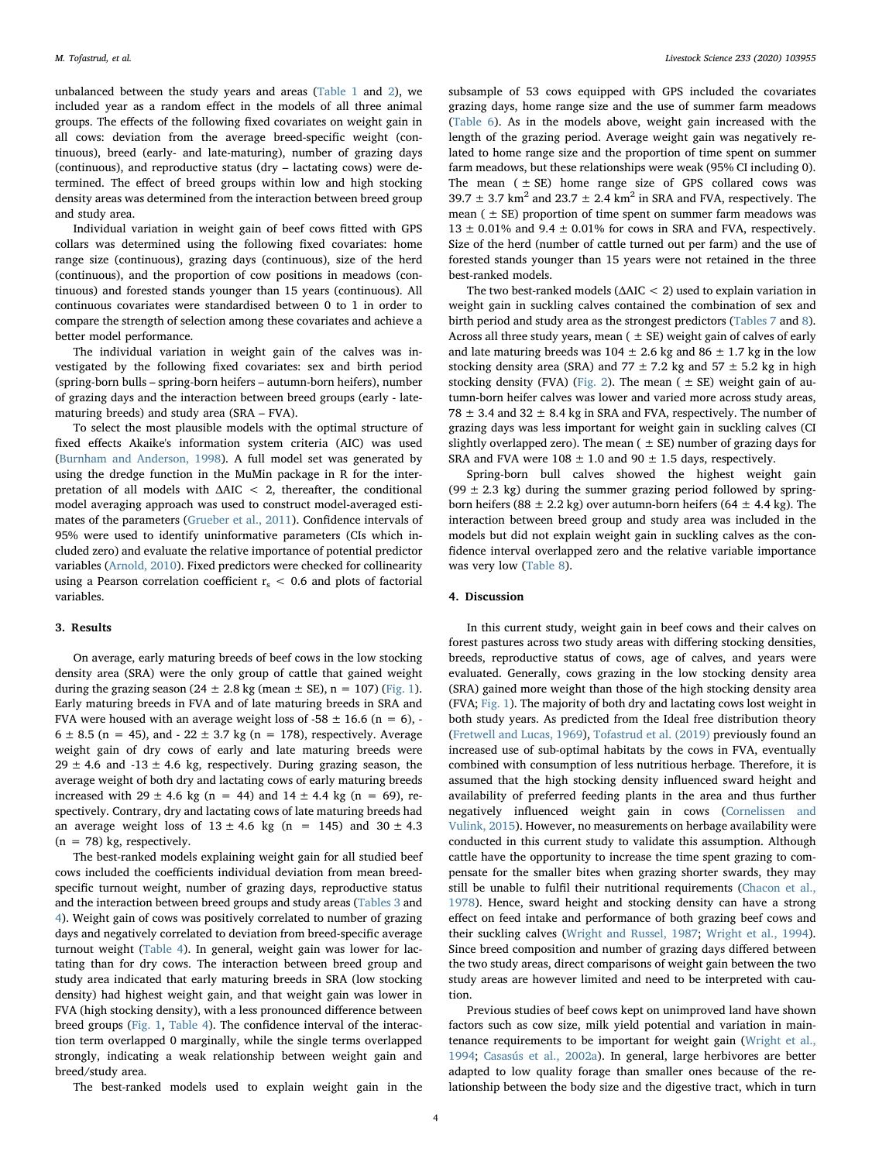unbalanced between the study years and areas ([Table 1](#page-2-0) and [2\)](#page-2-1), we included year as a random effect in the models of all three animal groups. The effects of the following fixed covariates on weight gain in all cows: deviation from the average breed-specific weight (continuous), breed (early- and late-maturing), number of grazing days (continuous), and reproductive status (dry – lactating cows) were determined. The effect of breed groups within low and high stocking density areas was determined from the interaction between breed group and study area.

Individual variation in weight gain of beef cows fitted with GPS collars was determined using the following fixed covariates: home range size (continuous), grazing days (continuous), size of the herd (continuous), and the proportion of cow positions in meadows (continuous) and forested stands younger than 15 years (continuous). All continuous covariates were standardised between 0 to 1 in order to compare the strength of selection among these covariates and achieve a better model performance.

The individual variation in weight gain of the calves was investigated by the following fixed covariates: sex and birth period (spring-born bulls – spring-born heifers – autumn-born heifers), number of grazing days and the interaction between breed groups (early - latematuring breeds) and study area (SRA – FVA).

To select the most plausible models with the optimal structure of fixed effects Akaike's information system criteria (AIC) was used ([Burnham and Anderson, 1998](#page-8-44)). A full model set was generated by using the dredge function in the MuMin package in R for the interpretation of all models with ΔAIC < 2, thereafter, the conditional model averaging approach was used to construct model-averaged estimates of the parameters [\(Grueber et al., 2011](#page-8-45)). Confidence intervals of 95% were used to identify uninformative parameters (CIs which included zero) and evaluate the relative importance of potential predictor variables [\(Arnold, 2010\)](#page-7-8). Fixed predictors were checked for collinearity using a Pearson correlation coefficient  $r_s < 0.6$  and plots of factorial variables.

## 3. Results

On average, early maturing breeds of beef cows in the low stocking density area (SRA) were the only group of cattle that gained weight during the grazing season (24  $\pm$  2.8 kg (mean  $\pm$  SE), n = 107) ([Fig. 1](#page-4-0)). Early maturing breeds in FVA and of late maturing breeds in SRA and FVA were housed with an average weight loss of  $-58 \pm 16.6$  (n = 6), - $6 \pm 8.5$  (n = 45), and  $-22 \pm 3.7$  kg (n = 178), respectively. Average weight gain of dry cows of early and late maturing breeds were 29  $\pm$  4.6 and -13  $\pm$  4.6 kg, respectively. During grazing season, the average weight of both dry and lactating cows of early maturing breeds increased with 29  $\pm$  4.6 kg (n = 44) and 14  $\pm$  4.4 kg (n = 69), respectively. Contrary, dry and lactating cows of late maturing breeds had an average weight loss of  $13 \pm 4.6$  kg (n = 145) and  $30 \pm 4.3$  $(n = 78)$  kg, respectively.

The best-ranked models explaining weight gain for all studied beef cows included the coefficients individual deviation from mean breedspecific turnout weight, number of grazing days, reproductive status and the interaction between breed groups and study areas ([Tables 3](#page-4-1) and [4](#page-5-0)). Weight gain of cows was positively correlated to number of grazing days and negatively correlated to deviation from breed-specific average turnout weight ([Table 4](#page-5-0)). In general, weight gain was lower for lactating than for dry cows. The interaction between breed group and study area indicated that early maturing breeds in SRA (low stocking density) had highest weight gain, and that weight gain was lower in FVA (high stocking density), with a less pronounced difference between breed groups ([Fig. 1](#page-4-0), [Table 4](#page-5-0)). The confidence interval of the interaction term overlapped 0 marginally, while the single terms overlapped strongly, indicating a weak relationship between weight gain and breed/study area.

The best-ranked models used to explain weight gain in the

subsample of 53 cows equipped with GPS included the covariates grazing days, home range size and the use of summer farm meadows ([Table 6\)](#page-5-1). As in the models above, weight gain increased with the length of the grazing period. Average weight gain was negatively related to home range size and the proportion of time spent on summer farm meadows, but these relationships were weak (95% CI including 0). The mean  $( \pm SE)$  home range size of GPS collared cows was 39.7  $\pm$  3.7 km<sup>2</sup> and 23.7  $\pm$  2.4 km<sup>2</sup> in SRA and FVA, respectively. The mean ( $\pm$  SE) proportion of time spent on summer farm meadows was  $13 \pm 0.01\%$  and 9.4  $\pm$  0.01% for cows in SRA and FVA, respectively. Size of the herd (number of cattle turned out per farm) and the use of forested stands younger than 15 years were not retained in the three best-ranked models.

The two best-ranked models (ΔAIC < 2) used to explain variation in weight gain in suckling calves contained the combination of sex and birth period and study area as the strongest predictors [\(Tables 7](#page-6-0) and [8](#page-6-1)). Across all three study years, mean  $( \pm SE)$  weight gain of calves of early and late maturing breeds was  $104 \pm 2.6$  kg and  $86 \pm 1.7$  kg in the low stocking density area (SRA) and 77  $\pm$  7.2 kg and 57  $\pm$  5.2 kg in high stocking density (FVA) ([Fig. 2](#page-6-2)). The mean ( $\pm$  SE) weight gain of autumn-born heifer calves was lower and varied more across study areas,  $78 \pm 3.4$  and  $32 \pm 8.4$  kg in SRA and FVA, respectively. The number of grazing days was less important for weight gain in suckling calves (CI slightly overlapped zero). The mean ( $\pm$  SE) number of grazing days for SRA and FVA were  $108 \pm 1.0$  and  $90 \pm 1.5$  days, respectively.

Spring-born bull calves showed the highest weight gain (99  $\pm$  2.3 kg) during the summer grazing period followed by springborn heifers (88  $\pm$  2.2 kg) over autumn-born heifers (64  $\pm$  4.4 kg). The interaction between breed group and study area was included in the models but did not explain weight gain in suckling calves as the confidence interval overlapped zero and the relative variable importance was very low [\(Table 8](#page-6-1)).

## 4. Discussion

In this current study, weight gain in beef cows and their calves on forest pastures across two study areas with differing stocking densities, breeds, reproductive status of cows, age of calves, and years were evaluated. Generally, cows grazing in the low stocking density area (SRA) gained more weight than those of the high stocking density area (FVA; [Fig. 1](#page-4-0)). The majority of both dry and lactating cows lost weight in both study years. As predicted from the Ideal free distribution theory ([Fretwell and Lucas, 1969](#page-8-46)), [Tofastrud et al. \(2019\)](#page-8-22) previously found an increased use of sub-optimal habitats by the cows in FVA, eventually combined with consumption of less nutritious herbage. Therefore, it is assumed that the high stocking density influenced sward height and availability of preferred feeding plants in the area and thus further negatively influenced weight gain in cows ([Cornelissen and](#page-8-18) [Vulink, 2015](#page-8-18)). However, no measurements on herbage availability were conducted in this current study to validate this assumption. Although cattle have the opportunity to increase the time spent grazing to compensate for the smaller bites when grazing shorter swards, they may still be unable to fulfil their nutritional requirements [\(Chacon et al.,](#page-8-47) [1978\)](#page-8-47). Hence, sward height and stocking density can have a strong effect on feed intake and performance of both grazing beef cows and their suckling calves ([Wright and Russel, 1987;](#page-8-16) [Wright et al., 1994](#page-8-48)). Since breed composition and number of grazing days differed between the two study areas, direct comparisons of weight gain between the two study areas are however limited and need to be interpreted with caution.

Previous studies of beef cows kept on unimproved land have shown factors such as cow size, milk yield potential and variation in maintenance requirements to be important for weight gain [\(Wright et al.,](#page-8-48) [1994;](#page-8-48) [Casasús et al., 2002a](#page-8-49)). In general, large herbivores are better adapted to low quality forage than smaller ones because of the relationship between the body size and the digestive tract, which in turn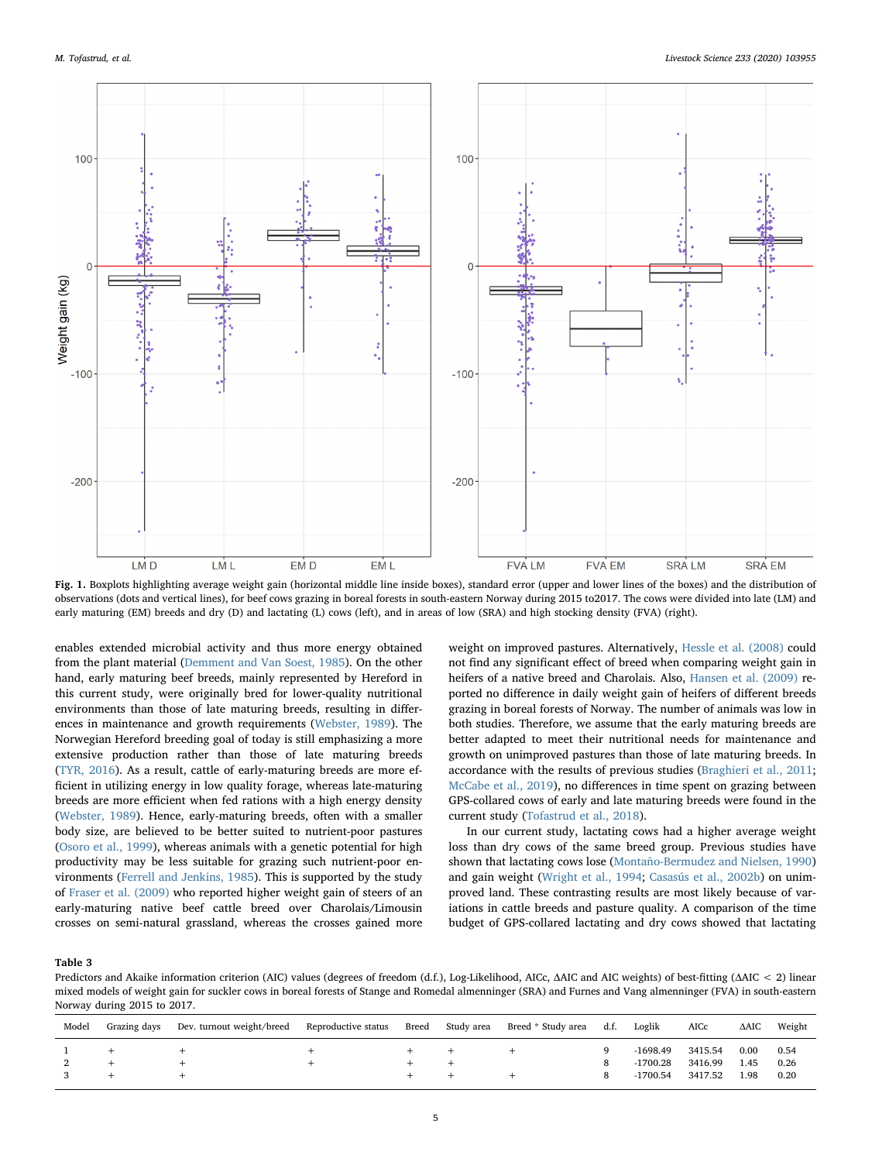<span id="page-4-0"></span>

Fig. 1. Boxplots highlighting average weight gain (horizontal middle line inside boxes), standard error (upper and lower lines of the boxes) and the distribution of observations (dots and vertical lines), for beef cows grazing in boreal forests in south-eastern Norway during 2015 to2017. The cows were divided into late (LM) and early maturing (EM) breeds and dry (D) and lactating (L) cows (left), and in areas of low (SRA) and high stocking density (FVA) (right).

enables extended microbial activity and thus more energy obtained from the plant material [\(Demment and Van Soest, 1985\)](#page-8-11). On the other hand, early maturing beef breeds, mainly represented by Hereford in this current study, were originally bred for lower-quality nutritional environments than those of late maturing breeds, resulting in differences in maintenance and growth requirements [\(Webster, 1989](#page-8-8)). The Norwegian Hereford breeding goal of today is still emphasizing a more extensive production rather than those of late maturing breeds ([TYR, 2016\)](#page-8-50). As a result, cattle of early-maturing breeds are more efficient in utilizing energy in low quality forage, whereas late-maturing breeds are more efficient when fed rations with a high energy density ([Webster, 1989\)](#page-8-8). Hence, early-maturing breeds, often with a smaller body size, are believed to be better suited to nutrient-poor pastures ([Osoro et al., 1999](#page-8-51)), whereas animals with a genetic potential for high productivity may be less suitable for grazing such nutrient-poor environments ([Ferrell and Jenkins, 1985](#page-8-12)). This is supported by the study of [Fraser et al. \(2009\)](#page-8-14) who reported higher weight gain of steers of an early-maturing native beef cattle breed over Charolais/Limousin crosses on semi-natural grassland, whereas the crosses gained more

weight on improved pastures. Alternatively, [Hessle et al. \(2008\)](#page-8-52) could not find any significant effect of breed when comparing weight gain in heifers of a native breed and Charolais. Also, [Hansen et al. \(2009\)](#page-8-20) reported no difference in daily weight gain of heifers of different breeds grazing in boreal forests of Norway. The number of animals was low in both studies. Therefore, we assume that the early maturing breeds are better adapted to meet their nutritional needs for maintenance and growth on unimproved pastures than those of late maturing breeds. In accordance with the results of previous studies [\(Braghieri et al., 2011](#page-7-9); [McCabe et al., 2019](#page-8-53)), no differences in time spent on grazing between GPS-collared cows of early and late maturing breeds were found in the current study ([Tofastrud et al., 2018\)](#page-8-54).

In our current study, lactating cows had a higher average weight loss than dry cows of the same breed group. Previous studies have shown that lactating cows lose ([Montaño-Bermudez and Nielsen, 1990\)](#page-8-13) and gain weight [\(Wright et al., 1994;](#page-8-48) [Casasús et al., 2002b](#page-8-10)) on unimproved land. These contrasting results are most likely because of variations in cattle breeds and pasture quality. A comparison of the time budget of GPS-collared lactating and dry cows showed that lactating

<span id="page-4-1"></span>Table 3

Predictors and Akaike information criterion (AIC) values (degrees of freedom (d.f.), Log-Likelihood, AICc, ΔAIC and AIC weights) of best-fitting (ΔAIC < 2) linear mixed models of weight gain for suckler cows in boreal forests of Stange and Romedal almenninger (SRA) and Furnes and Vang almenninger (FVA) in south-eastern Norway during 2015 to 2017.

| Model | Grazing days | Dev. turnout weight/breed | Reproductive status | Breed | Study area | Breed * Study area d.f. | Loglik                 | AICc               | ΔAIC         | Weight       |
|-------|--------------|---------------------------|---------------------|-------|------------|-------------------------|------------------------|--------------------|--------------|--------------|
|       |              | ÷                         |                     |       |            |                         | -1698.49               | 3415.54            | 0.00         | 0.54         |
|       |              | ÷                         |                     |       |            |                         | -1700.28<br>$-1700.54$ | 3416.99<br>3417.52 | 1.45<br>1.98 | 0.26<br>0.20 |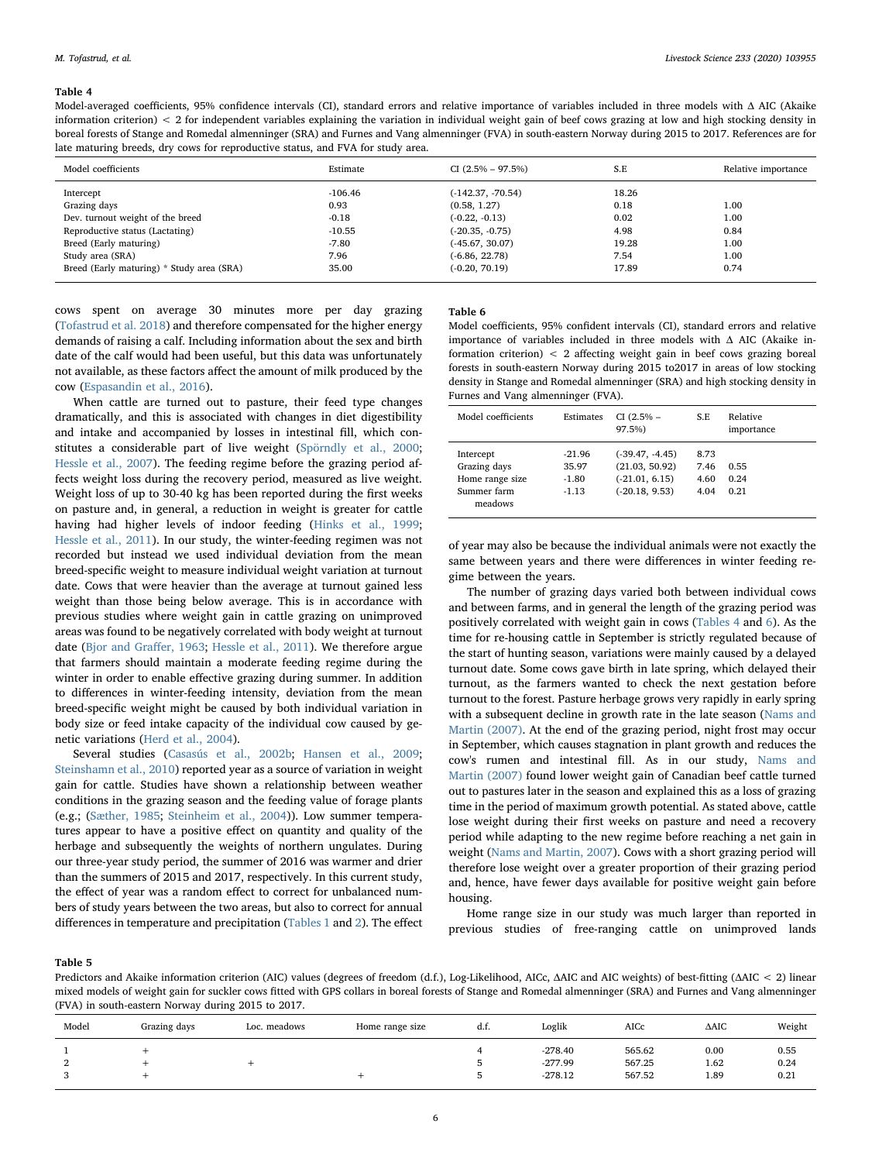#### <span id="page-5-0"></span>Table 4

Model-averaged coefficients, 95% confidence intervals (CI), standard errors and relative importance of variables included in three models with Δ AIC (Akaike information criterion) < 2 for independent variables explaining the variation in individual weight gain of beef cows grazing at low and high stocking density in boreal forests of Stange and Romedal almenninger (SRA) and Furnes and Vang almenninger (FVA) in south-eastern Norway during 2015 to 2017. References are for late maturing breeds, dry cows for reproductive status, and FVA for study area.

| Model coefficients                        | Estimate  | $CI (2.5\% - 97.5\%)$ | S.E   | Relative importance |
|-------------------------------------------|-----------|-----------------------|-------|---------------------|
| Intercept                                 | $-106.46$ | $(-142.37, -70.54)$   | 18.26 |                     |
| Grazing days                              | 0.93      | (0.58, 1.27)          | 0.18  | 1.00                |
| Dev. turnout weight of the breed          | $-0.18$   | $(-0.22, -0.13)$      | 0.02  | 1.00                |
| Reproductive status (Lactating)           | $-10.55$  | $(-20.35, -0.75)$     | 4.98  | 0.84                |
| Breed (Early maturing)                    | -7.80     | $(-45.67, 30.07)$     | 19.28 | 1.00                |
| Study area (SRA)                          | 7.96      | $(-6.86, 22.78)$      | 7.54  | 1.00                |
| Breed (Early maturing) * Study area (SRA) | 35.00     | $(-0.20, 70.19)$      | 17.89 | 0.74                |

cows spent on average 30 minutes more per day grazing ([Tofastrud et al. 2018](#page-8-54)) and therefore compensated for the higher energy demands of raising a calf. Including information about the sex and birth date of the calf would had been useful, but this data was unfortunately not available, as these factors affect the amount of milk produced by the cow ([Espasandin et al., 2016](#page-8-55)).

When cattle are turned out to pasture, their feed type changes dramatically, and this is associated with changes in diet digestibility and intake and accompanied by losses in intestinal fill, which constitutes a considerable part of live weight [\(Spörndly et al., 2000](#page-8-56); [Hessle et al., 2007](#page-8-57)). The feeding regime before the grazing period affects weight loss during the recovery period, measured as live weight. Weight loss of up to 30-40 kg has been reported during the first weeks on pasture and, in general, a reduction in weight is greater for cattle having had higher levels of indoor feeding [\(Hinks et al., 1999](#page-8-58); [Hessle et al., 2011\)](#page-8-19). In our study, the winter-feeding regimen was not recorded but instead we used individual deviation from the mean breed-specific weight to measure individual weight variation at turnout date. Cows that were heavier than the average at turnout gained less weight than those being below average. This is in accordance with previous studies where weight gain in cattle grazing on unimproved areas was found to be negatively correlated with body weight at turnout date ([Bjor and Gra](#page-7-4)ffer, 1963; [Hessle et al., 2011\)](#page-8-19). We therefore argue that farmers should maintain a moderate feeding regime during the winter in order to enable effective grazing during summer. In addition to differences in winter-feeding intensity, deviation from the mean breed-specific weight might be caused by both individual variation in body size or feed intake capacity of the individual cow caused by genetic variations [\(Herd et al., 2004](#page-8-59)).

Several studies ([Casasús et al., 2002b](#page-8-10); [Hansen et al., 2009](#page-8-20); [Steinshamn et al., 2010\)](#page-8-21) reported year as a source of variation in weight gain for cattle. Studies have shown a relationship between weather conditions in the grazing season and the feeding value of forage plants (e.g.; ([Sæther, 1985](#page-8-60); [Steinheim et al., 2004\)](#page-8-61)). Low summer temperatures appear to have a positive effect on quantity and quality of the herbage and subsequently the weights of northern ungulates. During our three-year study period, the summer of 2016 was warmer and drier than the summers of 2015 and 2017, respectively. In this current study, the effect of year was a random effect to correct for unbalanced numbers of study years between the two areas, but also to correct for annual differences in temperature and precipitation ([Tables 1](#page-2-0) and [2](#page-2-1)). The effect

#### <span id="page-5-1"></span>Table 6

Model coefficients, 95% confident intervals (CI), standard errors and relative importance of variables included in three models with Δ AIC (Akaike information criterion) < 2 affecting weight gain in beef cows grazing boreal forests in south-eastern Norway during 2015 to2017 in areas of low stocking density in Stange and Romedal almenninger (SRA) and high stocking density in Furnes and Vang almenninger (FVA).

| Model coefficients                                                     | Estimates                               | $CI(2.5% -$<br>97.5%)                                                       | S.E                          | Relative<br>importance |
|------------------------------------------------------------------------|-----------------------------------------|-----------------------------------------------------------------------------|------------------------------|------------------------|
| Intercept<br>Grazing days<br>Home range size<br>Summer farm<br>meadows | $-21.96$<br>35.97<br>$-1.80$<br>$-1.13$ | $(-39.47, -4.45)$<br>(21.03, 50.92)<br>$(-21.01, 6.15)$<br>$(-20.18, 9.53)$ | 8.73<br>7.46<br>4.60<br>4.04 | 0.55<br>0.24<br>0.21   |

of year may also be because the individual animals were not exactly the same between years and there were differences in winter feeding regime between the years.

The number of grazing days varied both between individual cows and between farms, and in general the length of the grazing period was positively correlated with weight gain in cows ([Tables 4](#page-5-0) and [6\)](#page-5-1). As the time for re-housing cattle in September is strictly regulated because of the start of hunting season, variations were mainly caused by a delayed turnout date. Some cows gave birth in late spring, which delayed their turnout, as the farmers wanted to check the next gestation before turnout to the forest. Pasture herbage grows very rapidly in early spring with a subsequent decline in growth rate in the late season [\(Nams and](#page-8-62) [Martin \(2007\).](#page-8-62) At the end of the grazing period, night frost may occur in September, which causes stagnation in plant growth and reduces the cow's rumen and intestinal fill. As in our study, [Nams and](#page-8-62) [Martin \(2007\)](#page-8-62) found lower weight gain of Canadian beef cattle turned out to pastures later in the season and explained this as a loss of grazing time in the period of maximum growth potential. As stated above, cattle lose weight during their first weeks on pasture and need a recovery period while adapting to the new regime before reaching a net gain in weight ([Nams and Martin, 2007\)](#page-8-62). Cows with a short grazing period will therefore lose weight over a greater proportion of their grazing period and, hence, have fewer days available for positive weight gain before housing.

Home range size in our study was much larger than reported in previous studies of free-ranging cattle on unimproved lands

Table 5

Predictors and Akaike information criterion (AIC) values (degrees of freedom (d.f.), Log-Likelihood, AICc, ΔAIC and AIC weights) of best-fitting (ΔAIC < 2) linear mixed models of weight gain for suckler cows fitted with GPS collars in boreal forests of Stange and Romedal almenninger (SRA) and Furnes and Vang almenninger (FVA) in south-eastern Norway during 2015 to 2017.

| Model | Grazing days | Loc. meadows | Home range size | d.f. | Loglik    | AICc   | $\triangle AIC$ | Weight |
|-------|--------------|--------------|-----------------|------|-----------|--------|-----------------|--------|
|       |              |              |                 |      | $-278.40$ | 565.62 | 0.00            | 0.55   |
|       |              |              |                 |      | $-277.99$ | 567.25 | 1.62            | 0.24   |
|       |              |              |                 |      | $-278.12$ | 567.52 | 1.89            | 0.21   |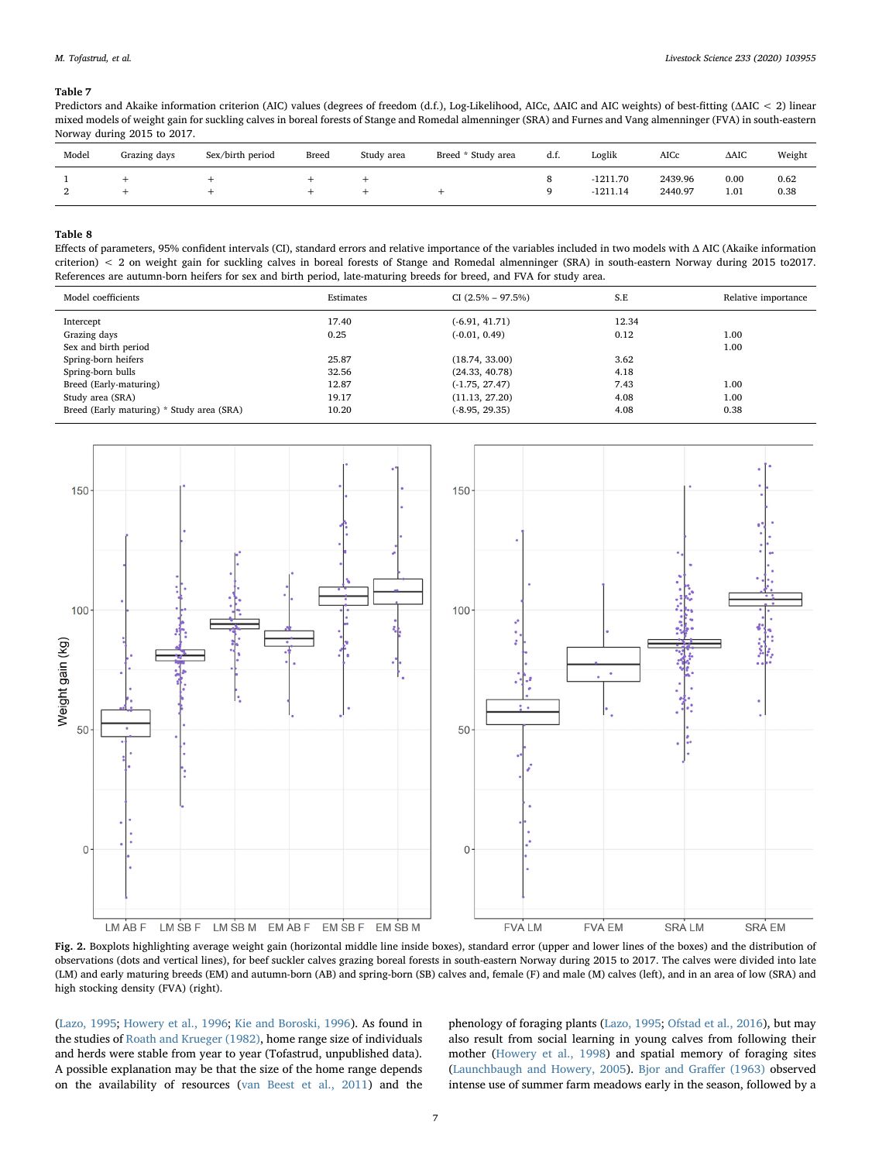#### <span id="page-6-0"></span>Table 7

Predictors and Akaike information criterion (AIC) values (degrees of freedom (d.f.), Log-Likelihood, AICc, ΔAIC and AIC weights) of best-fitting (ΔAIC < 2) linear mixed models of weight gain for suckling calves in boreal forests of Stange and Romedal almenninger (SRA) and Furnes and Vang almenninger (FVA) in south-eastern Norway during 2015 to 2017.

| Model | Grazing days | Sex/birth period | Breed | Study area | Breed * Study area | d.t. | Loglik                   | AICc               | $\triangle$ AIC | Weight       |
|-------|--------------|------------------|-------|------------|--------------------|------|--------------------------|--------------------|-----------------|--------------|
| ∼     |              |                  |       |            |                    |      | $-1211.70$<br>$-1211.14$ | 2439.96<br>2440.97 | 0.00<br>1.01    | 0.62<br>0.38 |

#### <span id="page-6-1"></span>Table 8

Effects of parameters, 95% confident intervals (CI), standard errors and relative importance of the variables included in two models with Δ AIC (Akaike information criterion) < 2 on weight gain for suckling calves in boreal forests of Stange and Romedal almenninger (SRA) in south-eastern Norway during 2015 to2017. References are autumn-born heifers for sex and birth period, late-maturing breeds for breed, and FVA for study area.

| Model coefficients                        | Estimates | $CI (2.5\% - 97.5\%)$ | S.E   | Relative importance |
|-------------------------------------------|-----------|-----------------------|-------|---------------------|
| Intercept                                 | 17.40     | $(-6.91, 41.71)$      | 12.34 |                     |
| Grazing days                              | 0.25      | $(-0.01, 0.49)$       | 0.12  | 1.00                |
| Sex and birth period                      |           |                       |       | 1.00                |
| Spring-born heifers                       | 25.87     | (18.74, 33.00)        | 3.62  |                     |
| Spring-born bulls                         | 32.56     | (24.33, 40.78)        | 4.18  |                     |
| Breed (Early-maturing)                    | 12.87     | $(-1.75, 27.47)$      | 7.43  | 1.00                |
| Study area (SRA)                          | 19.17     | (11.13, 27.20)        | 4.08  | 1.00                |
| Breed (Early maturing) * Study area (SRA) | 10.20     | $(-8.95, 29.35)$      | 4.08  | 0.38                |
|                                           |           |                       |       |                     |

<span id="page-6-2"></span>

Fig. 2. Boxplots highlighting average weight gain (horizontal middle line inside boxes), standard error (upper and lower lines of the boxes) and the distribution of observations (dots and vertical lines), for beef suckler calves grazing boreal forests in south-eastern Norway during 2015 to 2017. The calves were divided into late (LM) and early maturing breeds (EM) and autumn-born (AB) and spring-born (SB) calves and, female (F) and male (M) calves (left), and in an area of low (SRA) and high stocking density (FVA) (right).

([Lazo, 1995;](#page-8-29) [Howery et al., 1996;](#page-8-63) [Kie and Boroski, 1996\)](#page-8-30). As found in the studies of [Roath and Krueger \(1982\),](#page-8-64) home range size of individuals and herds were stable from year to year (Tofastrud, unpublished data). A possible explanation may be that the size of the home range depends on the availability of resources [\(van Beest et al., 2011\)](#page-8-31) and the phenology of foraging plants [\(Lazo, 1995;](#page-8-29) [Ofstad et al., 2016](#page-8-34)), but may also result from social learning in young calves from following their mother ([Howery et al., 1998\)](#page-8-65) and spatial memory of foraging sites ([Launchbaugh and Howery, 2005\)](#page-8-66). [Bjor and Gra](#page-7-4)ffer (1963) observed intense use of summer farm meadows early in the season, followed by a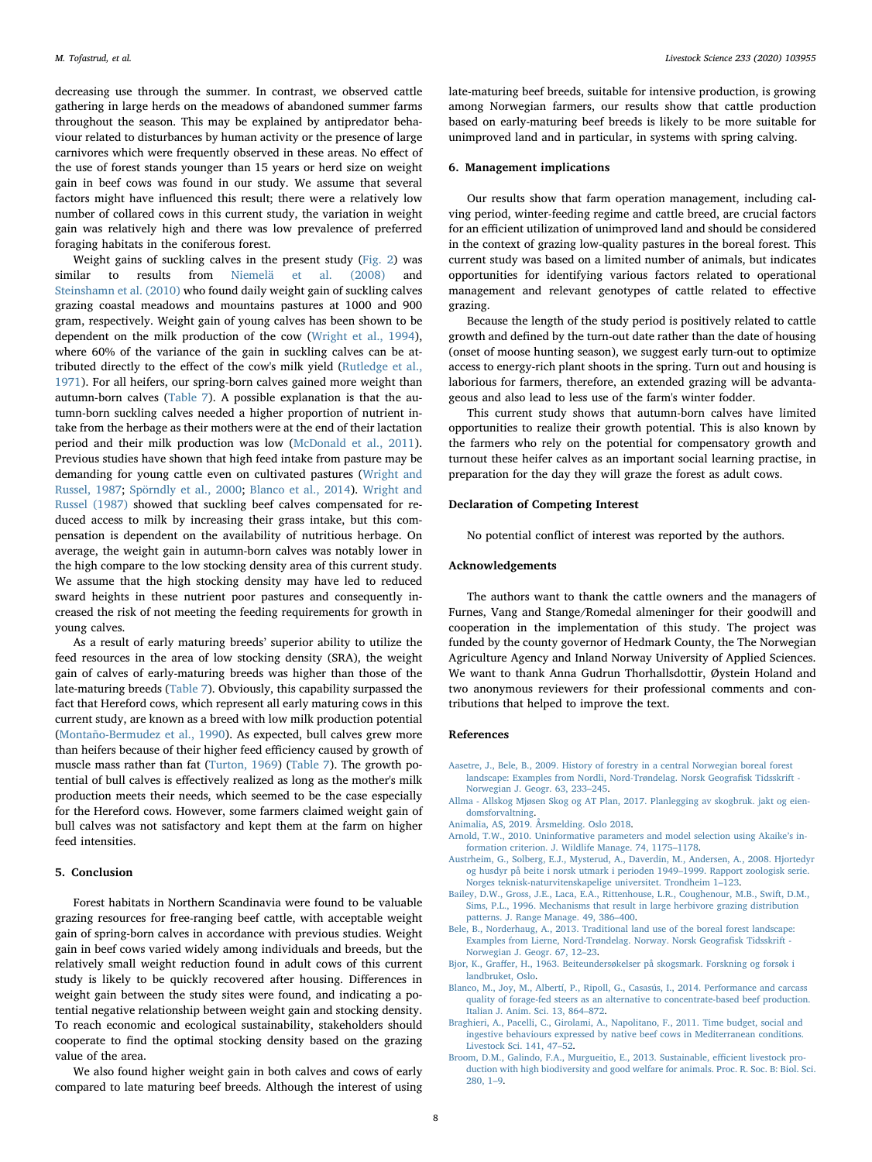decreasing use through the summer. In contrast, we observed cattle gathering in large herds on the meadows of abandoned summer farms throughout the season. This may be explained by antipredator behaviour related to disturbances by human activity or the presence of large carnivores which were frequently observed in these areas. No effect of the use of forest stands younger than 15 years or herd size on weight gain in beef cows was found in our study. We assume that several factors might have influenced this result; there were a relatively low number of collared cows in this current study, the variation in weight gain was relatively high and there was low prevalence of preferred foraging habitats in the coniferous forest.

Weight gains of suckling calves in the present study ([Fig. 2\)](#page-6-2) was similar to results from [Niemelä et al. \(2008\)](#page-8-9) and [Steinshamn et al. \(2010\)](#page-8-21) who found daily weight gain of suckling calves grazing coastal meadows and mountains pastures at 1000 and 900 gram, respectively. Weight gain of young calves has been shown to be dependent on the milk production of the cow ([Wright et al., 1994](#page-8-48)), where 60% of the variance of the gain in suckling calves can be attributed directly to the effect of the cow's milk yield ([Rutledge et al.,](#page-8-67) [1971\)](#page-8-67). For all heifers, our spring-born calves gained more weight than autumn-born calves ([Table 7](#page-6-0)). A possible explanation is that the autumn-born suckling calves needed a higher proportion of nutrient intake from the herbage as their mothers were at the end of their lactation period and their milk production was low ([McDonald et al., 2011](#page-8-68)). Previous studies have shown that high feed intake from pasture may be demanding for young cattle even on cultivated pastures ([Wright and](#page-8-16) [Russel, 1987](#page-8-16); [Spörndly et al., 2000](#page-8-56); [Blanco et al., 2014\)](#page-7-10). [Wright and](#page-8-16) [Russel \(1987\)](#page-8-16) showed that suckling beef calves compensated for reduced access to milk by increasing their grass intake, but this compensation is dependent on the availability of nutritious herbage. On average, the weight gain in autumn-born calves was notably lower in the high compare to the low stocking density area of this current study. We assume that the high stocking density may have led to reduced sward heights in these nutrient poor pastures and consequently increased the risk of not meeting the feeding requirements for growth in young calves.

As a result of early maturing breeds' superior ability to utilize the feed resources in the area of low stocking density (SRA), the weight gain of calves of early-maturing breeds was higher than those of the late-maturing breeds ([Table 7\)](#page-6-0). Obviously, this capability surpassed the fact that Hereford cows, which represent all early maturing cows in this current study, are known as a breed with low milk production potential ([Montaño-Bermudez et al., 1990\)](#page-8-69). As expected, bull calves grew more than heifers because of their higher feed efficiency caused by growth of muscle mass rather than fat ([Turton, 1969\)](#page-8-27) ([Table 7](#page-6-0)). The growth potential of bull calves is effectively realized as long as the mother's milk production meets their needs, which seemed to be the case especially for the Hereford cows. However, some farmers claimed weight gain of bull calves was not satisfactory and kept them at the farm on higher feed intensities.

## 5. Conclusion

Forest habitats in Northern Scandinavia were found to be valuable grazing resources for free-ranging beef cattle, with acceptable weight gain of spring-born calves in accordance with previous studies. Weight gain in beef cows varied widely among individuals and breeds, but the relatively small weight reduction found in adult cows of this current study is likely to be quickly recovered after housing. Differences in weight gain between the study sites were found, and indicating a potential negative relationship between weight gain and stocking density. To reach economic and ecological sustainability, stakeholders should cooperate to find the optimal stocking density based on the grazing value of the area.

We also found higher weight gain in both calves and cows of early compared to late maturing beef breeds. Although the interest of using late-maturing beef breeds, suitable for intensive production, is growing among Norwegian farmers, our results show that cattle production based on early-maturing beef breeds is likely to be more suitable for unimproved land and in particular, in systems with spring calving.

#### 6. Management implications

Our results show that farm operation management, including calving period, winter-feeding regime and cattle breed, are crucial factors for an efficient utilization of unimproved land and should be considered in the context of grazing low-quality pastures in the boreal forest. This current study was based on a limited number of animals, but indicates opportunities for identifying various factors related to operational management and relevant genotypes of cattle related to effective grazing.

Because the length of the study period is positively related to cattle growth and defined by the turn-out date rather than the date of housing (onset of moose hunting season), we suggest early turn-out to optimize access to energy-rich plant shoots in the spring. Turn out and housing is laborious for farmers, therefore, an extended grazing will be advantageous and also lead to less use of the farm's winter fodder.

This current study shows that autumn-born calves have limited opportunities to realize their growth potential. This is also known by the farmers who rely on the potential for compensatory growth and turnout these heifer calves as an important social learning practise, in preparation for the day they will graze the forest as adult cows.

#### Declaration of Competing Interest

No potential conflict of interest was reported by the authors.

## Acknowledgements

The authors want to thank the cattle owners and the managers of Furnes, Vang and Stange/Romedal almeninger for their goodwill and cooperation in the implementation of this study. The project was funded by the county governor of Hedmark County, the The Norwegian Agriculture Agency and Inland Norway University of Applied Sciences. We want to thank Anna Gudrun Thorhallsdottir, Øystein Holand and two anonymous reviewers for their professional comments and contributions that helped to improve the text.

#### References

- <span id="page-7-5"></span>[Aasetre, J., Bele, B., 2009. History of forestry in a central Norwegian boreal forest](http://refhub.elsevier.com/S1871-1413(19)30360-9/sbref0001) [landscape: Examples from Nordli, Nord-Trøndelag. Norsk Geogra](http://refhub.elsevier.com/S1871-1413(19)30360-9/sbref0001)fisk Tidsskrift - [Norwegian J. Geogr. 63, 233](http://refhub.elsevier.com/S1871-1413(19)30360-9/sbref0001)–245.
- <span id="page-7-7"></span>[Allma - Allskog Mjøsen Skog og AT Plan, 2017. Planlegging av skogbruk. jakt og eien](http://refhub.elsevier.com/S1871-1413(19)30360-9/sbref0002)[domsforvaltning.](http://refhub.elsevier.com/S1871-1413(19)30360-9/sbref0002)
- <span id="page-7-3"></span>[Animalia, AS, 2019. Årsmelding. Oslo 2018](http://refhub.elsevier.com/S1871-1413(19)30360-9/sbref0003).
- <span id="page-7-8"></span>[Arnold, T.W., 2010. Uninformative parameters and model selection using Akaike](http://refhub.elsevier.com/S1871-1413(19)30360-9/sbref0004)'s in[formation criterion. J. Wildlife Manage. 74, 1175](http://refhub.elsevier.com/S1871-1413(19)30360-9/sbref0004)–1178.
- <span id="page-7-2"></span>[Austrheim, G., Solberg, E.J., Mysterud, A., Daverdin, M., Andersen, A., 2008. Hjortedyr](http://refhub.elsevier.com/S1871-1413(19)30360-9/sbref0005) [og husdyr på beite i norsk utmark i perioden 1949](http://refhub.elsevier.com/S1871-1413(19)30360-9/sbref0005)–1999. Rapport zoologisk serie. [Norges teknisk-naturvitenskapelige universitet. Trondheim 1](http://refhub.elsevier.com/S1871-1413(19)30360-9/sbref0005)–123.
- <span id="page-7-6"></span>[Bailey, D.W., Gross, J.E., Laca, E.A., Rittenhouse, L.R., Coughenour, M.B., Swift, D.M.,](http://refhub.elsevier.com/S1871-1413(19)30360-9/sbref0006) [Sims, P.L., 1996. Mechanisms that result in large herbivore grazing distribution](http://refhub.elsevier.com/S1871-1413(19)30360-9/sbref0006) [patterns. J. Range Manage. 49, 386](http://refhub.elsevier.com/S1871-1413(19)30360-9/sbref0006)–400.
- <span id="page-7-1"></span>[Bele, B., Norderhaug, A., 2013. Traditional land use of the boreal forest landscape:](http://refhub.elsevier.com/S1871-1413(19)30360-9/sbref0007) [Examples from Lierne, Nord-Trøndelag. Norway. Norsk Geogra](http://refhub.elsevier.com/S1871-1413(19)30360-9/sbref0007)fisk Tidsskrift - [Norwegian J. Geogr. 67, 12](http://refhub.elsevier.com/S1871-1413(19)30360-9/sbref0007)–23.
- <span id="page-7-4"></span>Bjor, K., Graff[er, H., 1963. Beiteundersøkelser på skogsmark. Forskning og forsøk i](http://refhub.elsevier.com/S1871-1413(19)30360-9/sbref0008) [landbruket, Oslo.](http://refhub.elsevier.com/S1871-1413(19)30360-9/sbref0008)
- <span id="page-7-10"></span>[Blanco, M., Joy, M., Albertí, P., Ripoll, G., Casasús, I., 2014. Performance and carcass](http://refhub.elsevier.com/S1871-1413(19)30360-9/sbref0009) [quality of forage-fed steers as an alternative to concentrate-based beef production.](http://refhub.elsevier.com/S1871-1413(19)30360-9/sbref0009) [Italian J. Anim. Sci. 13, 864](http://refhub.elsevier.com/S1871-1413(19)30360-9/sbref0009)–872.
- <span id="page-7-9"></span>[Braghieri, A., Pacelli, C., Girolami, A., Napolitano, F., 2011. Time budget, social and](http://refhub.elsevier.com/S1871-1413(19)30360-9/sbref0010) [ingestive behaviours expressed by native beef cows in Mediterranean conditions.](http://refhub.elsevier.com/S1871-1413(19)30360-9/sbref0010) [Livestock Sci. 141, 47](http://refhub.elsevier.com/S1871-1413(19)30360-9/sbref0010)–52.
- <span id="page-7-0"></span>[Broom, D.M., Galindo, F.A., Murgueitio, E., 2013. Sustainable, e](http://refhub.elsevier.com/S1871-1413(19)30360-9/sbref0011)fficient livestock pro[duction with high biodiversity and good welfare for animals. Proc. R. Soc. B: Biol. Sci.](http://refhub.elsevier.com/S1871-1413(19)30360-9/sbref0011) [280, 1](http://refhub.elsevier.com/S1871-1413(19)30360-9/sbref0011)–9.